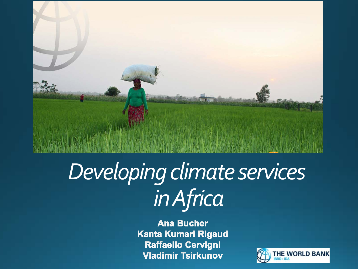

# *Developing climate services in Africa*

**Ana Bucher Kanta Kumari Rigaud Raffaello Cervigni Vladimir Tsirkunov** 

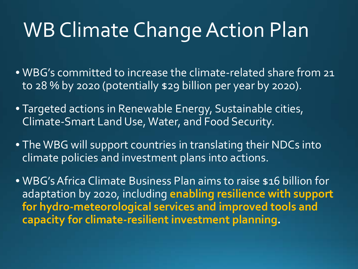## WB Climate Change Action Plan

- WBG's committed to increase the climate-related share from 21 to 28 % by 2020 (potentially \$29 billion per year by 2020).
- Targeted actions in Renewable Energy, Sustainable cities, Climate-Smart Land Use, Water, and Food Security.
- The WBG will support countries in translating their NDCs into climate policies and investment plans into actions.

• WBG's Africa Climate Business Plan aims to raise \$16 billion for adaptation by 2020, including **enabling resilience with support for hydro-meteorological services and improved tools and capacity for climate-resilient investment planning.**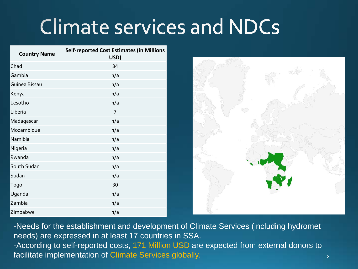## **Climate services and NDCs**

| <b>Country Name</b> | <b>Self-reported Cost Estimates (in Millions</b><br>USD) |
|---------------------|----------------------------------------------------------|
| Chad                | 34                                                       |
| Gambia              | n/a                                                      |
| Guinea Bissau       | n/a                                                      |
| Kenya               | n/a                                                      |
| Lesotho             | n/a                                                      |
| Liberia             | $\overline{7}$                                           |
| Madagascar          | n/a                                                      |
| Mozambique          | n/a                                                      |
| Namibia             | n/a                                                      |
| Nigeria             | n/a                                                      |
| Rwanda              | n/a                                                      |
| South Sudan         | n/a                                                      |
| Sudan               | n/a                                                      |
| Togo                | 30                                                       |
| Uganda              | n/a                                                      |
| Zambia              | n/a                                                      |
| Zimbabwe            | n/a                                                      |



-Needs for the establishment and development of Climate Services (including hydromet needs) are expressed in at least 17 countries in SSA. -According to self-reported costs, 171 Million USD are expected from external donors to facilitate implementation of Climate Services globally.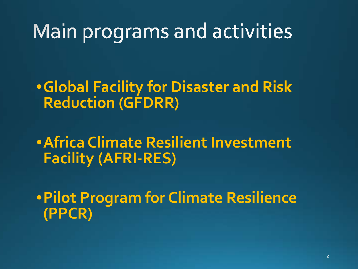### Main programs and activities

•**Global Facility for Disaster and Risk Reduction (GFDRR)**

•**Africa Climate Resilient Investment Facility (AFRI-RES)**

•**Pilot Program for Climate Resilience (PPCR)**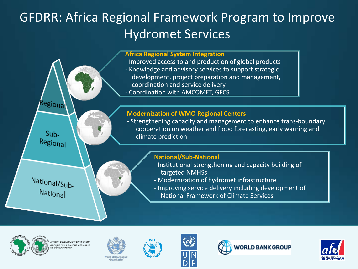### GFDRR: Africa Regional Framework Program to Improve Hydromet Services

#### **Africa Regional System Integration**

- *-* Improved access to and production of global products
- Knowledge and advisory services to support strategic development, project preparation and management, coordination and service delivery
- Coordination with AMCOMET, GFCS

#### **Modernization of WMO Regional Centers**

- Strengthening capacity and management to enhance trans-boundary cooperation on weather and flood forecasting, early warning and climate prediction.

National/Sub-National

Regional

Suh-Regional

#### **National/Sub-National**

- Institutional strengthening and capacity building of targeted NMHSs
- Modernization of hydromet infrastructure
- Improving service delivery including development of
	- National Framework of Climate Services











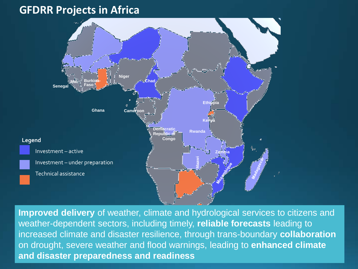#### **GFDRR Projects in Africa**



**Improved delivery** of weather, climate and hydrological services to citizens and weather-dependent sectors, including timely, **reliable forecasts** leading to increased climate and disaster resilience, through trans-boundary **collaboration** on drought, severe weather and flood warnings, leading to **enhanced climate and disaster preparedness and readiness**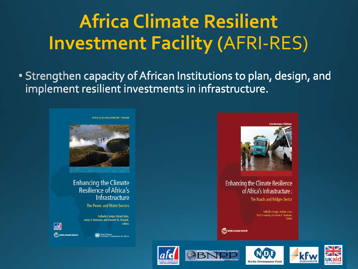## **Africa Climate Resilient Investment Facility (AFRI-RES)**

• Strengthen capacity of African Institutions to plan, design, and implement resilient investments in infrastructure.



**Enhancing the Climate** Resilience of Africa's Infrastructure

The Power and Water Sectors

Raffaello Cervigni, Rikard Liden, James E. Neumann, and Kenneth M. Strzepek **Editors** 



Commission for Africa



**Enhancing the Climate Resilience** of Africa's Infrastructure:

The Roads and Bridges Sector

Raffaello Cervigni, Andrew Losos, Paul Chinowsky, and James E. Neumann,

WORLD BANK GROUP









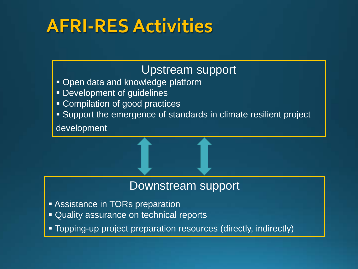### **AFRI-RES Activities**

### Upstream support

- **Open data and knowledge platform**
- **Development of guidelines**
- **Compilation of good practices**
- Support the emergence of standards in climate resilient project

development

### Downstream support

- **Assistance in TORs preparation**
- **Quality assurance on technical reports**
- Topping-up project preparation resources (directly, indirectly)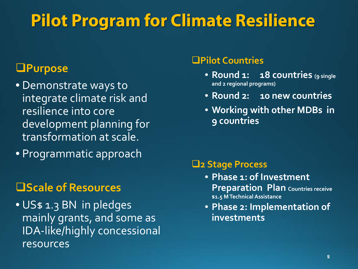### **Pilot Program for Climate Resilience**

### **Purpose**

- Demonstrate ways to integrate climate risk and resilience into core development planning for transformation at scale.
- Programmatic approach

### **Scale of Resources**

• US\$ 1.3 BN in pledges mainly grants, and some as IDA-like/highly concessional resources

#### **Pilot Countries**

- **Round 1: 18 countries (9 single and 2 regional programs)**
- **Round 2: 10 new countries**
- **Working with other MDBs in 9 countries**

#### **2 Stage Process**

- **Phase 1: of Investment Preparation Plan Countries receive \$1.5 M Technical Assistance**
- **Phase 2: Implementation of investments**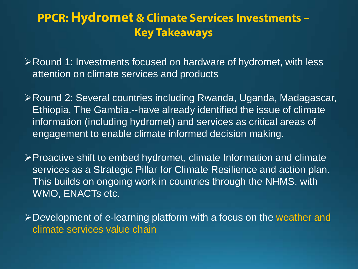### **PPCR: Hydromet & Climate Services Investments – Key Takeaways**

Round 1: Investments focused on hardware of hydromet, with less attention on climate services and products

Round 2: Several countries including Rwanda, Uganda, Madagascar, Ethiopia, The Gambia.--have already identified the issue of climate information (including hydromet) and services as critical areas of engagement to enable climate informed decision making.

Proactive shift to embed hydromet, climate Information and climate services as a Strategic Pillar for Climate Resilience and action plan. This builds on ongoing work in countries through the NHMS, with WMO, ENACTs etc.

> Development of e-learning platform with a focus on the weather and climate services value chain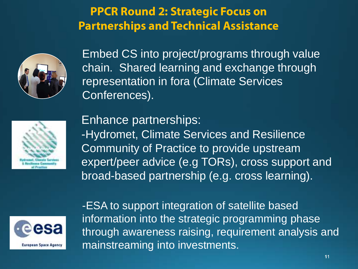### **PPCR Round 2: Strategic Focus on Partnerships and Technical Assistance**



Embed CS into project/programs through value chain. Shared learning and exchange through representation in fora (Climate Services Conferences).



Enhance partnerships: -Hydromet, Climate Services and Resilience Community of Practice to provide upstream expert/peer advice (e.g TORs), cross support and broad-based partnership (e.g. cross learning).



-ESA to support integration of satellite based information into the strategic programming phase through awareness raising, requirement analysis and mainstreaming into investments.